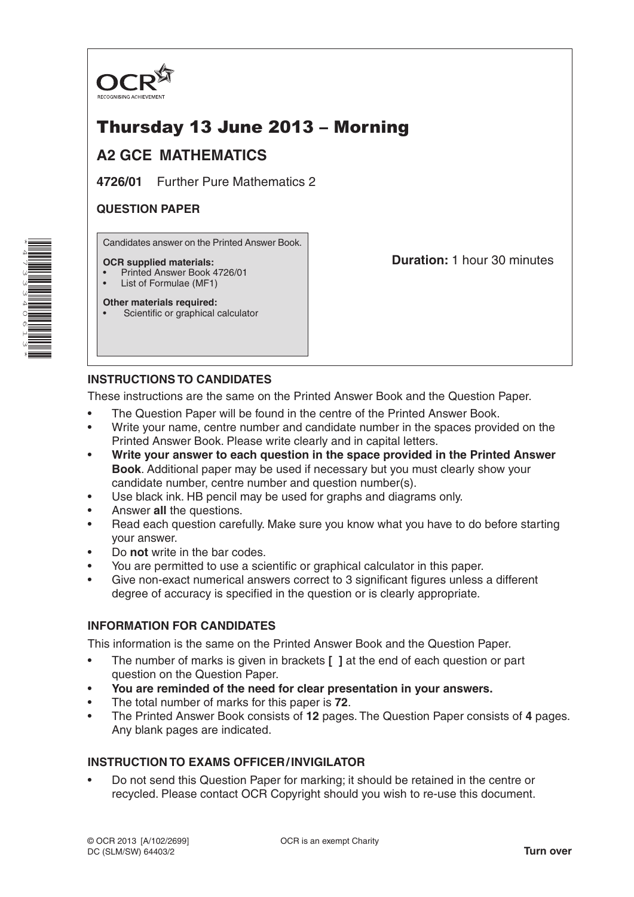

# Thursday 13 June 2013 – Morning

## **A2 GCE MATHEMATICS**

**4726/01** Further Pure Mathematics 2

### **QUESTION PAPER**

Candidates answer on the Printed Answer Book.

#### **OCR supplied materials:**

• Printed Answer Book 4726/01

Scientific or graphical calculator

List of Formulae (MF1) **Other materials required:** **Duration:** 1 hour 30 minutes

## **INSTRUCTIONS TO CANDIDATES**

These instructions are the same on the Printed Answer Book and the Question Paper.

- The Question Paper will be found in the centre of the Printed Answer Book.
- Write your name, centre number and candidate number in the spaces provided on the Printed Answer Book. Please write clearly and in capital letters.
- **Write your answer to each question in the space provided in the Printed Answer Book**. Additional paper may be used if necessary but you must clearly show your candidate number, centre number and question number(s).
- Use black ink. HB pencil may be used for graphs and diagrams only.
- Answer **all** the questions.
- Read each question carefully. Make sure you know what you have to do before starting your answer.
- Do **not** write in the bar codes.
- You are permitted to use a scientific or graphical calculator in this paper.
- Give non-exact numerical answers correct to 3 significant figures unless a different degree of accuracy is specified in the question or is clearly appropriate.

#### **INFORMATION FOR CANDIDATES**

This information is the same on the Printed Answer Book and the Question Paper.

- The number of marks is given in brackets **[ ]** at the end of each question or part question on the Question Paper.
- **You are reminded of the need for clear presentation in your answers.**
- The total number of marks for this paper is **72**.
- The Printed Answer Book consists of **12** pages. The Question Paper consists of **4** pages. Any blank pages are indicated.

#### **INSTRUCTION TO EXAMS OFFICER/INVIGILATOR**

• Do not send this Question Paper for marking; it should be retained in the centre or recycled. Please contact OCR Copyright should you wish to re-use this document.

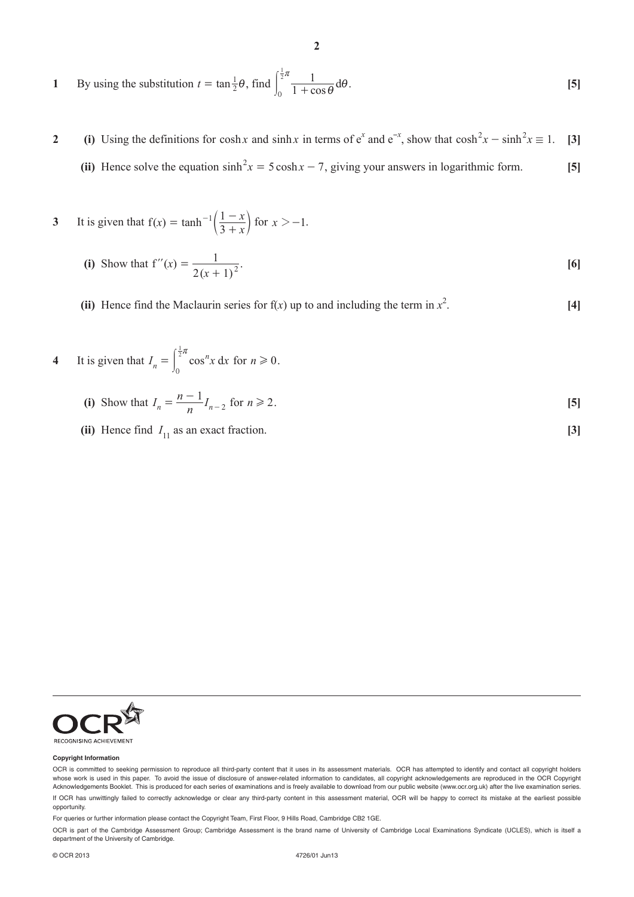1 By using the substitution 
$$
t = \tan \frac{1}{2}\theta
$$
, find  $\int_0^{\frac{1}{2}\pi} \frac{1}{1 + \cos \theta} d\theta$ . [5]

**2** (i) Using the definitions for cosh *x* and sinh *x* in terms of  $e^x$  and  $e^{-x}$ , show that  $cosh^2 x - sinh^2 x \equiv 1$ . [3] **(ii)** Hence solve the equation  $\sinh^2 x = 5 \cosh x - 7$ , giving your answers in logarithmic form. **[5]** 

3 It is given that 
$$
f(x) = \tanh^{-1}\left(\frac{1-x}{3+x}\right)
$$
 for  $x > -1$ .

(i) Show that 
$$
f''(x) = \frac{1}{2(x+1)^2}
$$
. [6]

- (ii) Hence find the Maclaurin series for  $f(x)$  up to and including the term in  $x^2$ . **[4]**
- **4** It is given that  $I_n = \int_0^{2\pi} \cos^n x \, dx$ 0  $=\int_{0}^{\frac{1}{2}\pi} \cos^{n}x \, dx$  for  $n \ge 0$ .
- (i) Show that  $I_n = \frac{n-1}{n} I_{n-2}$  for  $n \ge 2$ . [5]
- **(ii)** Hence find  $I_{11}$  as an exact fraction. **[3]**

RECOGNISING ACHIEVEMENT

#### **Copyright Information**

OCR is committed to seeking permission to reproduce all third-party content that it uses in its assessment materials. OCR has attempted to identify and contact all copyright holders whose work is used in this paper. To avoid the issue of disclosure of answer-related information to candidates, all copyright acknowledgements are reproduced in the OCR Copyright Acknowledgements Booklet. This is produced for each series of examinations and is freely available to download from our public website (www.ocr.org.uk) after the live examination series. If OCR has unwittingly failed to correctly acknowledge or clear any third-party content in this assessment material, OCR will be happy to correct its mistake at the earliest possible opportunity.

For queries or further information please contact the Copyright Team, First Floor, 9 Hills Road, Cambridge CB2 1GE.

OCR is part of the Cambridge Assessment Group; Cambridge Assessment is the brand name of University of Cambridge Local Examinations Syndicate (UCLES), which is itself a department of the University of Cambridge.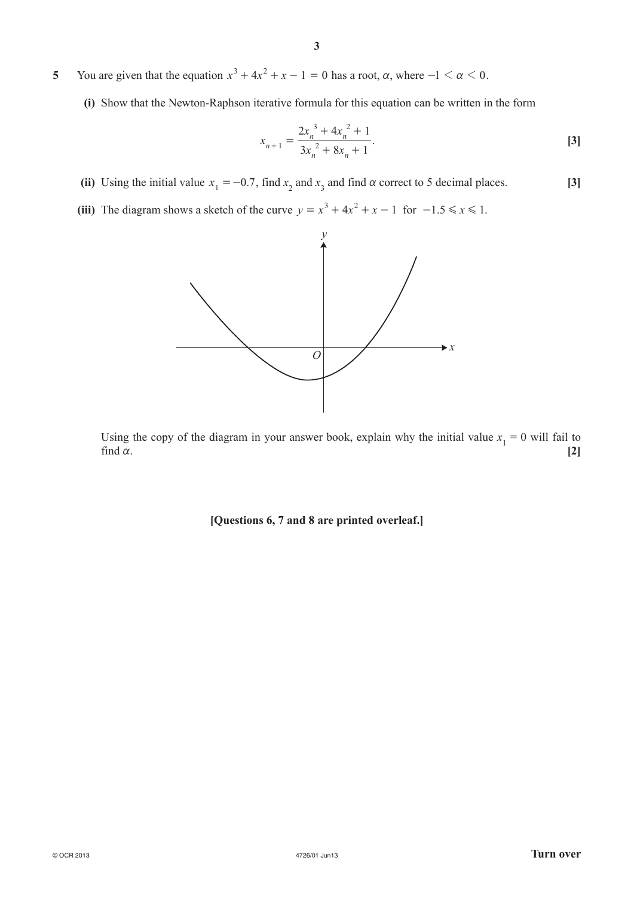**5** You are given that the equation  $x^3 + 4x^2 + x - 1 = 0$  has a root,  $\alpha$ , where  $-1 < \alpha < 0$ .

**(i)** Show that the Newton-Raphson iterative formula for this equation can be written in the form

$$
x_{n+1} = \frac{2x_n^3 + 4x_n^2 + 1}{3x_n^2 + 8x_n + 1}.
$$
 [3]

- (ii) Using the initial value  $x_1 = -0.7$ , find  $x_2$  and  $x_3$  and find  $\alpha$  correct to 5 decimal places. **[3]**
- **(iii)** The diagram shows a sketch of the curve  $y = x^3 + 4x^2 + x 1$  for  $-1.5 \le x \le 1$ .



Using the copy of the diagram in your answer book, explain why the initial value  $x_1 = 0$  will fail to find  $\alpha$ . [2]

**[Questions 6, 7 and 8 are printed overleaf.]**